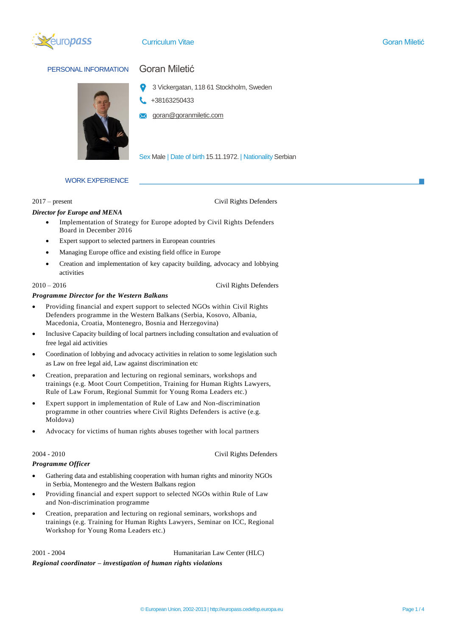

### Curriculum Vitae Goran Miletić

# PERSONAL INFORMATION Goran Miletić



- 3 Vickergatan, 118 61 Stockholm, Sweden
- +38163250433
- goran@goranmiletic.com

Sex Male | Date of birth 15.11.1972. | Nationality Serbian

## WORK EXPERIENCE

### 2017 – present Civil Rights Defenders

### *Director for Europe and MENA*

- Implementation of Strategy for Europe adopted by Civil Rights Defenders Board in December 2016
- Expert support to selected partners in European countries
- Managing Europe office and existing field office in Europe
- Creation and implementation of key capacity building, advocacy and lobbying activities

2010 – 2016 Civil Rights Defenders

### *Programme Director for the Western Balkans*

- Providing financial and expert support to selected NGOs within Civil Rights Defenders programme in the Western Balkans (Serbia, Kosovo, Albania, Macedonia, Croatia, Montenegro, Bosnia and Herzegovina)
- Inclusive Capacity building of local partners including consultation and evaluation of free legal aid activities
- Coordination of lobbying and advocacy activities in relation to some legislation such as Law on free legal aid, Law against discrimination etc
- Creation, preparation and lecturing on regional seminars, workshops and trainings (e.g. Moot Court Competition, Training for Human Rights Lawyers, Rule of Law Forum, Regional Summit for Young Roma Leaders etc.)
- Expert support in implementation of Rule of Law and Non-discrimination programme in other countries where Civil Rights Defenders is active (e.g. Moldova)
- Advocacy for victims of human rights abuses together with local partners

2004 - 2010 Civil Rights Defenders

### *Programme Officer*

- Gathering data and establishing cooperation with human rights and minority NGOs in Serbia, Montenegro and the Western Balkans region
- Providing financial and expert support to selected NGOs within Rule of Law and Non-discrimination programme
- Creation, preparation and lecturing on regional seminars, workshops and trainings (e.g. Training for Human Rights Lawyers, Seminar on ICC, Regional Workshop for Young Roma Leaders etc.)

2001 - 2004 Humanitarian Law Center (HLC)

# *Regional coordinator – investigation of human rights violations*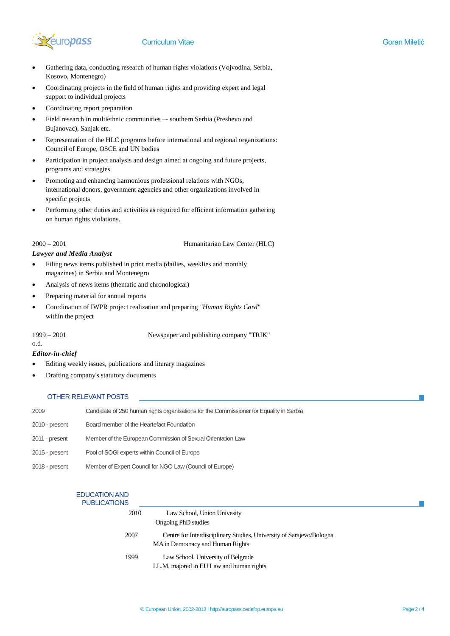

- Gathering data, conducting research of human rights violations (Vojvodina, Serbia, Kosovo, Montenegro)
- Coordinating projects in the field of human rights and providing expert and legal support to individual projects
- Coordinating report preparation
- Field research in multiethnic communities –- southern Serbia (Preshevo and Bujanovac), Sanjak etc.
- Representation of the HLC programs before international and regional organizations: Council of Europe, OSCE and UN bodies
- Participation in project analysis and design aimed at ongoing and future projects, programs and strategies
- Promoting and enhancing harmonious professional relations with NGOs, international donors, government agencies and other organizations involved in specific projects
- Performing other duties and activities as required for efficient information gathering on human rights violations.

2000 – 2001 Humanitarian Law Center (HLC)

## *Lawyer and Media Analyst*

- Filing news items published in print media (dailies, weeklies and monthly magazines) in Serbia and Montenegro
- Analysis of news items (thematic and chronological)
- Preparing material for annual reports
- Coordination of IWPR project realization and preparing *"Human Rights Card"*  within the project

o.d.

1999 – 2001 Newspaper and publishing company "TRIK"

### *Editor-in-chief*

- Editing weekly issues, publications and literary magazines
- Drafting company's statutory documents

# OTHER RELEVANT POSTS

| 2009           | Candidate of 250 human rights organisations for the Commissioner for Equality in Serbia |
|----------------|-----------------------------------------------------------------------------------------|
| 2010 - present | Board member of the Heartefact Foundation                                               |
| 2011 - present | Member of the European Commission of Sexual Orientation Law                             |
| 2015 - present | Pool of SOGI experts within Council of Europe                                           |
| 2018 - present | Member of Expert Council for NGO Law (Council of Europe)                                |
|                |                                                                                         |

| <b>EDUCATION AND</b><br><b>PUBLICATIONS</b> |                                                                                                          |
|---------------------------------------------|----------------------------------------------------------------------------------------------------------|
| 2010                                        | Law School, Union Univesity                                                                              |
|                                             | Ongoing PhD studies                                                                                      |
| 2007                                        | Centre for Interdisciplinary Studies, University of Sarajevo/Bologna<br>MA in Democracy and Human Rights |
| 1999                                        | Law School, University of Belgrade<br>LL.M. majored in EU Law and human rights                           |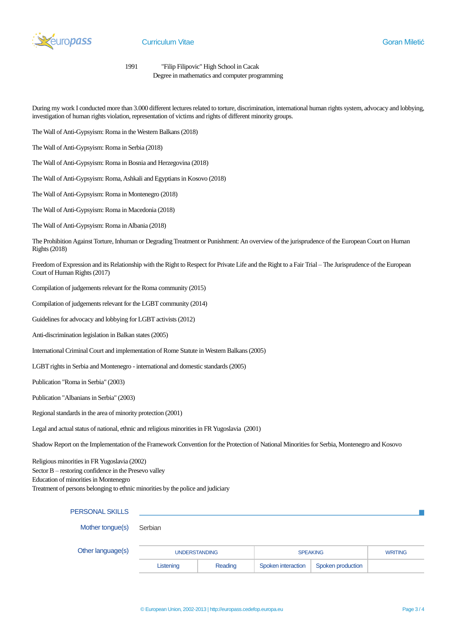

1991 "Filip Filipovic" High School in Cacak

Degree in mathematics and computer programming

During my work I conducted more than 3.000 different lectures related to torture, discrimination, international human rights system, advocacy and lobbying, investigation of human rights violation, representation of victims and rights of different minority groups.

- The Wall of Anti-Gypsyism: Roma in the Western Balkans (2018)
- The Wall of Anti-Gypsyism: Roma in Serbia (2018)
- The Wall of Anti-Gypsyism: Roma in Bosnia and Herzegovina (2018)
- The Wall of Anti-Gypsyism: Roma, Ashkali and Egyptians in Kosovo (2018)
- The Wall of Anti-Gypsyism: Roma in Montenegro (2018)
- The Wall of Anti-Gypsyism: Roma in Macedonia (2018)
- The Wall of Anti-Gypsyism: Roma in Albania (2018)

The Prohibition Against Torture, Inhuman or Degrading Treatment or Punishment: An overview of the jurisprudence of the European Court on Human Rights (2018)

Freedom of Expression and its Relationship with the Right to Respect for Private Life and the Right to a Fair Trial – The Jurisprudence of the European Court of Human Rights (2017)

Compilation of judgements relevant for the Roma community (2015)

Compilation of judgements relevant for the LGBT community (2014)

Guidelines for advocacy and lobbying for LGBT activists (2012)

Anti-discrimination legislation in Balkan states (2005)

International Criminal Court and implementation of Rome Statute in Western Balkans (2005)

LGBT rights in Serbia and Montenegro - international and domestic standards (2005)

Publication "Roma in Serbia" (2003)

Publication "Albanians in Serbia" (2003)

Regional standards in the area of minority protection (2001)

Legal and actual status of national, ethnic and religious minorities in FR Yugoslavia (2001)

Shadow Report on the Implementation of the Framework Convention for the Protection of National Minorities for Serbia, Montenegro and Kosovo

Religious minorities in FR Yugoslavia (2002) Sector B – restoring confidence in the Presevo valley Education of minorities in Montenegro Treatment of persons belonging to ethnic minorities by the police and judiciary

### PERSONAL SKILLS

Mother tongue(s) Serbian

| Other language(s) | <b>UNDERSTANDING</b> |         | <b>SPEAKING</b>    |                   | <b>WRITING</b> |
|-------------------|----------------------|---------|--------------------|-------------------|----------------|
|                   | Listening            | Reading | Spoken interaction | Spoken production |                |